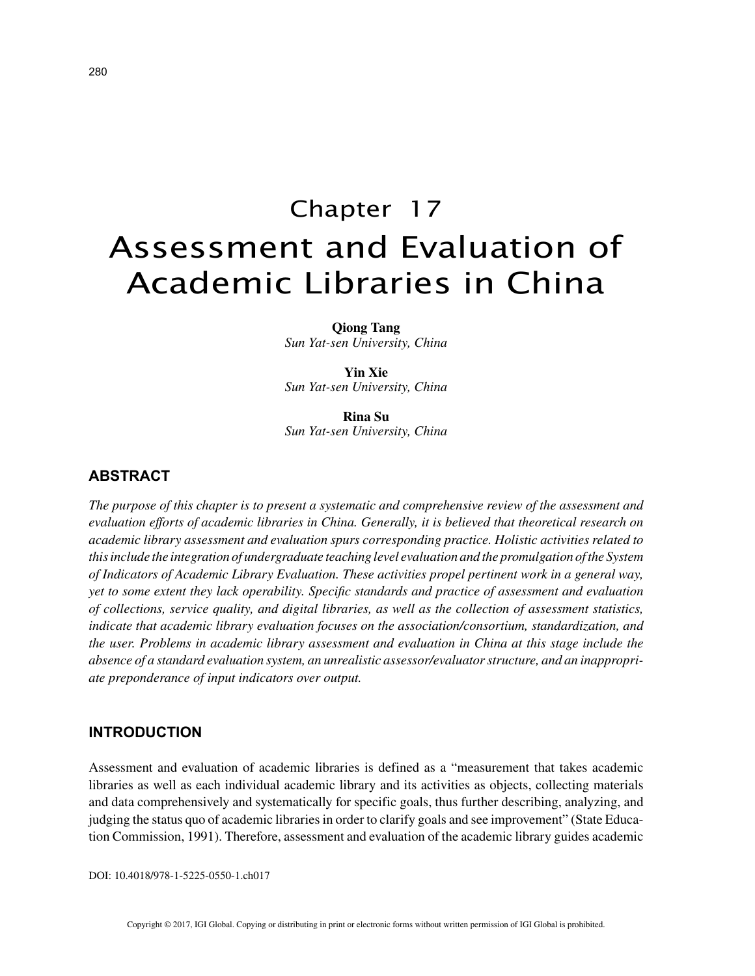# Chapter 17 Assessment and Evaluation of Academic Libraries in China

**Qiong Tang** *Sun Yat-sen University, China*

**Yin Xie** *Sun Yat-sen University, China*

**Rina Su** *Sun Yat-sen University, China*

# **ABSTRACT**

*The purpose of this chapter is to present a systematic and comprehensive review of the assessment and evaluation efforts of academic libraries in China. Generally, it is believed that theoretical research on academic library assessment and evaluation spurs corresponding practice. Holistic activities related to this include the integration of undergraduate teaching level evaluation and the promulgation of the System of Indicators of Academic Library Evaluation. These activities propel pertinent work in a general way, yet to some extent they lack operability. Specific standards and practice of assessment and evaluation of collections, service quality, and digital libraries, as well as the collection of assessment statistics, indicate that academic library evaluation focuses on the association/consortium, standardization, and the user. Problems in academic library assessment and evaluation in China at this stage include the absence of a standard evaluation system, an unrealistic assessor/evaluator structure, and an inappropriate preponderance of input indicators over output.*

#### **INTRODUCTION**

Assessment and evaluation of academic libraries is defined as a "measurement that takes academic libraries as well as each individual academic library and its activities as objects, collecting materials and data comprehensively and systematically for specific goals, thus further describing, analyzing, and judging the status quo of academic libraries in order to clarify goals and see improvement" (State Education Commission, 1991). Therefore, assessment and evaluation of the academic library guides academic

DOI: 10.4018/978-1-5225-0550-1.ch017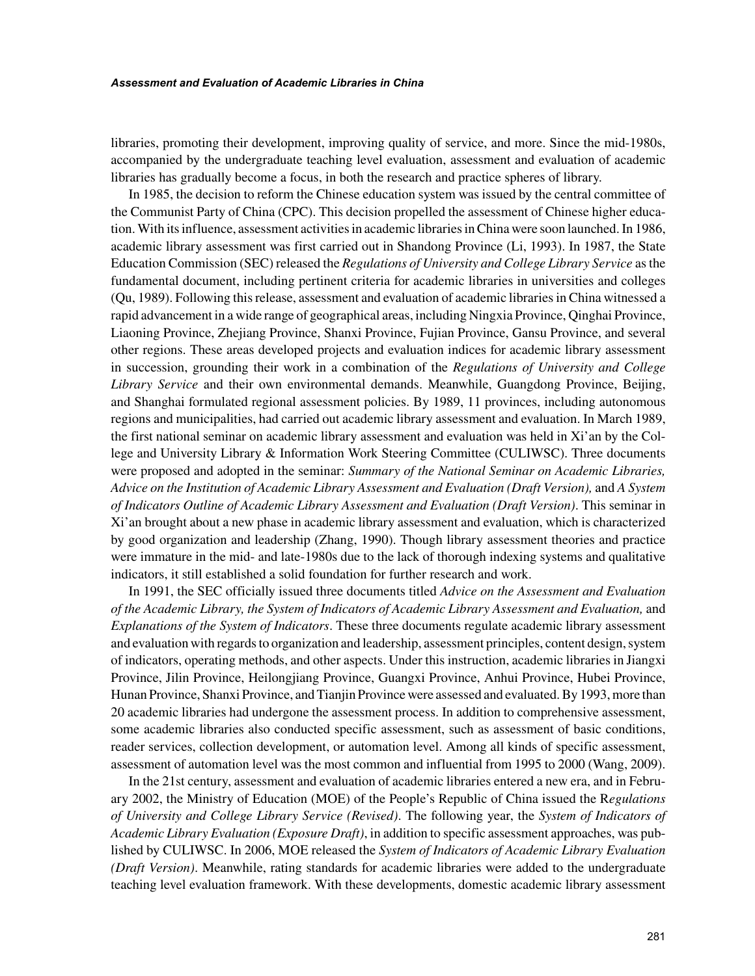libraries, promoting their development, improving quality of service, and more. Since the mid-1980s, accompanied by the undergraduate teaching level evaluation, assessment and evaluation of academic libraries has gradually become a focus, in both the research and practice spheres of library.

In 1985, the decision to reform the Chinese education system was issued by the central committee of the Communist Party of China (CPC). This decision propelled the assessment of Chinese higher education. With its influence, assessment activities in academic libraries in China were soon launched. In 1986, academic library assessment was first carried out in Shandong Province (Li, 1993). In 1987, the State Education Commission (SEC) released the *Regulations of University and College Library Service* as the fundamental document, including pertinent criteria for academic libraries in universities and colleges (Qu, 1989). Following this release, assessment and evaluation of academic libraries in China witnessed a rapid advancement in a wide range of geographical areas, including Ningxia Province, Qinghai Province, Liaoning Province, Zhejiang Province, Shanxi Province, Fujian Province, Gansu Province, and several other regions. These areas developed projects and evaluation indices for academic library assessment in succession, grounding their work in a combination of the *Regulations of University and College Library Service* and their own environmental demands. Meanwhile, Guangdong Province, Beijing, and Shanghai formulated regional assessment policies. By 1989, 11 provinces, including autonomous regions and municipalities, had carried out academic library assessment and evaluation. In March 1989, the first national seminar on academic library assessment and evaluation was held in Xi'an by the College and University Library & Information Work Steering Committee (CULIWSC). Three documents were proposed and adopted in the seminar: *Summary of the National Seminar on Academic Libraries, Advice on the Institution of Academic Library Assessment and Evaluation (Draft Version),* and *A System of Indicators Outline of Academic Library Assessment and Evaluation (Draft Version)*. This seminar in Xi'an brought about a new phase in academic library assessment and evaluation, which is characterized by good organization and leadership (Zhang, 1990). Though library assessment theories and practice were immature in the mid- and late-1980s due to the lack of thorough indexing systems and qualitative indicators, it still established a solid foundation for further research and work.

In 1991, the SEC officially issued three documents titled *Advice on the Assessment and Evaluation of the Academic Library, the System of Indicators of Academic Library Assessment and Evaluation,* and *Explanations of the System of Indicators*. These three documents regulate academic library assessment and evaluation with regards to organization and leadership, assessment principles, content design, system of indicators, operating methods, and other aspects. Under this instruction, academic libraries in Jiangxi Province, Jilin Province, Heilongjiang Province, Guangxi Province, Anhui Province, Hubei Province, Hunan Province, Shanxi Province, and Tianjin Province were assessed and evaluated. By 1993, more than 20 academic libraries had undergone the assessment process. In addition to comprehensive assessment, some academic libraries also conducted specific assessment, such as assessment of basic conditions, reader services, collection development, or automation level. Among all kinds of specific assessment, assessment of automation level was the most common and influential from 1995 to 2000 (Wang, 2009).

In the 21st century, assessment and evaluation of academic libraries entered a new era, and in February 2002, the Ministry of Education (MOE) of the People's Republic of China issued the R*egulations of University and College Library Service (Revised)*. The following year, the *System of Indicators of Academic Library Evaluation (Exposure Draft)*, in addition to specific assessment approaches, was published by CULIWSC. In 2006, MOE released the *System of Indicators of Academic Library Evaluation (Draft Version)*. Meanwhile, rating standards for academic libraries were added to the undergraduate teaching level evaluation framework. With these developments, domestic academic library assessment